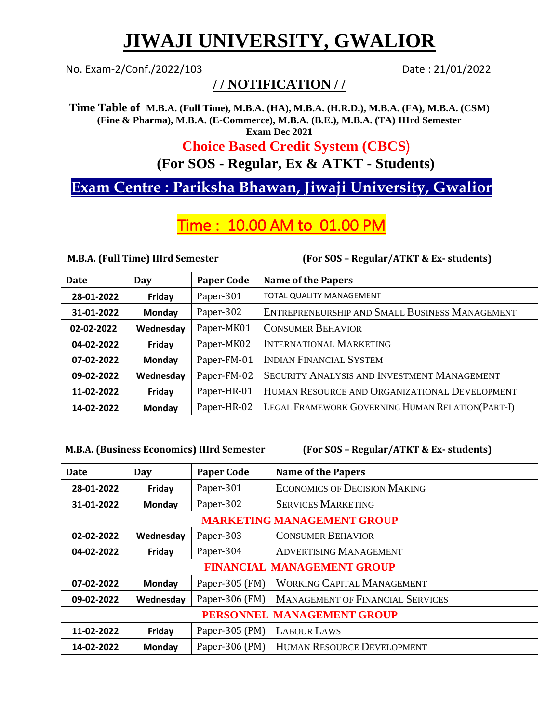# **JIWAJI UNIVERSITY, GWALIOR**

No. Exam-2/Conf./2022/103 Date: 21/01/2022

## **/ / NOTIFICATION / /**

**Time Table of M.B.A. (Full Time), M.B.A. (HA), M.B.A. (H.R.D.), M.B.A. (FA), M.B.A. (CSM) (Fine & Pharma), M.B.A. (E-Commerce), M.B.A. (B.E.), M.B.A. (TA) IIIrd Semester Exam Dec 2021**

## **Choice Based Credit System (CBCS**½

**(For SOS - Regular, Ex & ATKT - Students)**

## **Exam Centre : Pariksha Bhawan, Jiwaji University, Gwalior**

## Time : 10.00 AM to 01.00 PM

**M.B.A. (Full Time) IIIrd Semester (For SOS – Regular/ATKT & Ex- students)** 

| Date       | Day       | <b>Paper Code</b> | <b>Name of the Papers</b>                          |
|------------|-----------|-------------------|----------------------------------------------------|
| 28-01-2022 | Friday    | Paper-301         | TOTAL QUALITY MANAGEMENT                           |
| 31-01-2022 | Monday    | Paper-302         | ENTREPRENEURSHIP AND SMALL BUSINESS MANAGEMENT     |
| 02-02-2022 | Wednesday | Paper-MK01        | <b>CONSUMER BEHAVIOR</b>                           |
| 04-02-2022 | Friday    | Paper-MK02        | <b>INTERNATIONAL MARKETING</b>                     |
| 07-02-2022 | Monday    | Paper-FM-01       | <b>INDIAN FINANCIAL SYSTEM</b>                     |
| 09-02-2022 | Wednesday | Paper-FM-02       | <b>SECURITY ANALYSIS AND INVESTMENT MANAGEMENT</b> |
| 11-02-2022 | Friday    | Paper-HR-01       | HUMAN RESOURCE AND ORGANIZATIONAL DEVELOPMENT      |
| 14-02-2022 | Monday    | Paper-HR-02       | LEGAL FRAMEWORK GOVERNING HUMAN RELATION(PART-I)   |

#### **M.B.A. (Business Economics) IIIrd Semester (For SOS – Regular/ATKT & Ex- students)**

| <b>Date</b>                       | Day       | <b>Paper Code</b> | <b>Name of the Papers</b>               |  |
|-----------------------------------|-----------|-------------------|-----------------------------------------|--|
| 28-01-2022                        | Friday    | Paper-301         | <b>ECONOMICS OF DECISION MAKING</b>     |  |
| 31-01-2022                        | Monday    | Paper-302         | <b>SERVICES MARKETING</b>               |  |
| <b>MARKETING MANAGEMENT GROUP</b> |           |                   |                                         |  |
| 02-02-2022                        | Wednesday | Paper-303         | <b>CONSUMER BEHAVIOR</b>                |  |
| 04-02-2022                        | Friday    | Paper-304         | <b>ADVERTISING MANAGEMENT</b>           |  |
| <b>FINANCIAL MANAGEMENT GROUP</b> |           |                   |                                         |  |
| 07-02-2022                        | Monday    | Paper-305 (FM)    | <b>WORKING CAPITAL MANAGEMENT</b>       |  |
| 09-02-2022                        | Wednesday | Paper-306 (FM)    | <b>MANAGEMENT OF FINANCIAL SERVICES</b> |  |
| PERSONNEL MANAGEMENT GROUP        |           |                   |                                         |  |
| 11-02-2022                        | Friday    | Paper-305 (PM)    | <b>LABOUR LAWS</b>                      |  |
| 14-02-2022                        | Monday    | Paper-306 (PM)    | HUMAN RESOURCE DEVELOPMENT              |  |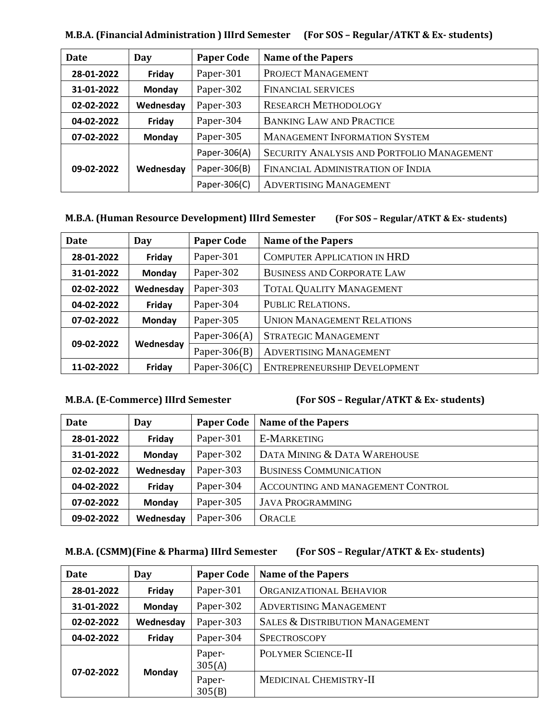| Date       | Day           | <b>Paper Code</b> | <b>Name of the Papers</b>                  |
|------------|---------------|-------------------|--------------------------------------------|
| 28-01-2022 | Friday        | Paper-301         | PROJECT MANAGEMENT                         |
| 31-01-2022 | Monday        | Paper-302         | <b>FINANCIAL SERVICES</b>                  |
| 02-02-2022 | Wednesday     | Paper-303         | <b>RESEARCH METHODOLOGY</b>                |
| 04-02-2022 | Friday        | Paper-304         | <b>BANKING LAW AND PRACTICE</b>            |
| 07-02-2022 | <b>Monday</b> | Paper-305         | <b>MANAGEMENT INFORMATION SYSTEM</b>       |
| 09-02-2022 | Wednesday     | Paper-306(A)      | SECURITY ANALYSIS AND PORTFOLIO MANAGEMENT |
|            |               | Paper-306(B)      | FINANCIAL ADMINISTRATION OF INDIA          |
|            |               | Paper-306(C)      | ADVERTISING MANAGEMENT                     |

**M.B.A. (Financial Administration ) IIIrd Semester (For SOS – Regular/ATKT & Ex- students)**

#### **M.B.A. (Human Resource Development) IIIrd Semester (For SOS – Regular/ATKT & Ex- students)**

| <b>Date</b> | Day           | <b>Paper Code</b> | <b>Name of the Papers</b>          |
|-------------|---------------|-------------------|------------------------------------|
| 28-01-2022  | Friday        | Paper-301         | <b>COMPUTER APPLICATION IN HRD</b> |
| 31-01-2022  | <b>Monday</b> | Paper-302         | <b>BUSINESS AND CORPORATE LAW</b>  |
| 02-02-2022  | Wednesday     | Paper-303         | <b>TOTAL QUALITY MANAGEMENT</b>    |
| 04-02-2022  | Friday        | Paper-304         | PUBLIC RELATIONS.                  |
| 07-02-2022  | <b>Monday</b> | Paper-305         | <b>UNION MANAGEMENT RELATIONS</b>  |
| 09-02-2022  | Wednesday     | Paper-306 $(A)$   | <b>STRATEGIC MANAGEMENT</b>        |
|             |               | Paper-306 $(B)$   | <b>ADVERTISING MANAGEMENT</b>      |
| 11-02-2022  | Friday        | Paper-306 $(C)$   | ENTREPRENEURSHIP DEVELOPMENT       |

**M.B.A. (E-Commerce) IIIrd Semester (For SOS – Regular/ATKT & Ex- students)**

| Date       | Day       | <b>Paper Code</b> | <b>Name of the Papers</b>         |
|------------|-----------|-------------------|-----------------------------------|
| 28-01-2022 | Friday    | Paper-301         | <b>E-MARKETING</b>                |
| 31-01-2022 | Monday    | Paper-302         | DATA MINING & DATA WAREHOUSE      |
| 02-02-2022 | Wednesday | Paper-303         | <b>BUSINESS COMMUNICATION</b>     |
| 04-02-2022 | Friday    | Paper-304         | ACCOUNTING AND MANAGEMENT CONTROL |
| 07-02-2022 | Monday    | Paper-305         | <b>JAVA PROGRAMMING</b>           |
| 09-02-2022 | Wednesday | Paper-306         | <b>ORACLE</b>                     |

#### **M.B.A. (CSMM)(Fine & Pharma) IIIrd Semester (For SOS – Regular/ATKT & Ex- students)**

| Date       | Day       | <b>Paper Code</b> | <b>Name of the Papers</b>                  |
|------------|-----------|-------------------|--------------------------------------------|
| 28-01-2022 | Friday    | Paper-301         | <b>ORGANIZATIONAL BEHAVIOR</b>             |
| 31-01-2022 | Monday    | Paper-302         | <b>ADVERTISING MANAGEMENT</b>              |
| 02-02-2022 | Wednesday | Paper-303         | <b>SALES &amp; DISTRIBUTION MANAGEMENT</b> |
| 04-02-2022 | Friday    | Paper-304         | <b>SPECTROSCOPY</b>                        |
| 07-02-2022 | Monday    | Paper-<br>305(A)  | POLYMER SCIENCE-II                         |
|            |           | Paper-<br>305(B)  | MEDICINAL CHEMISTRY-II                     |